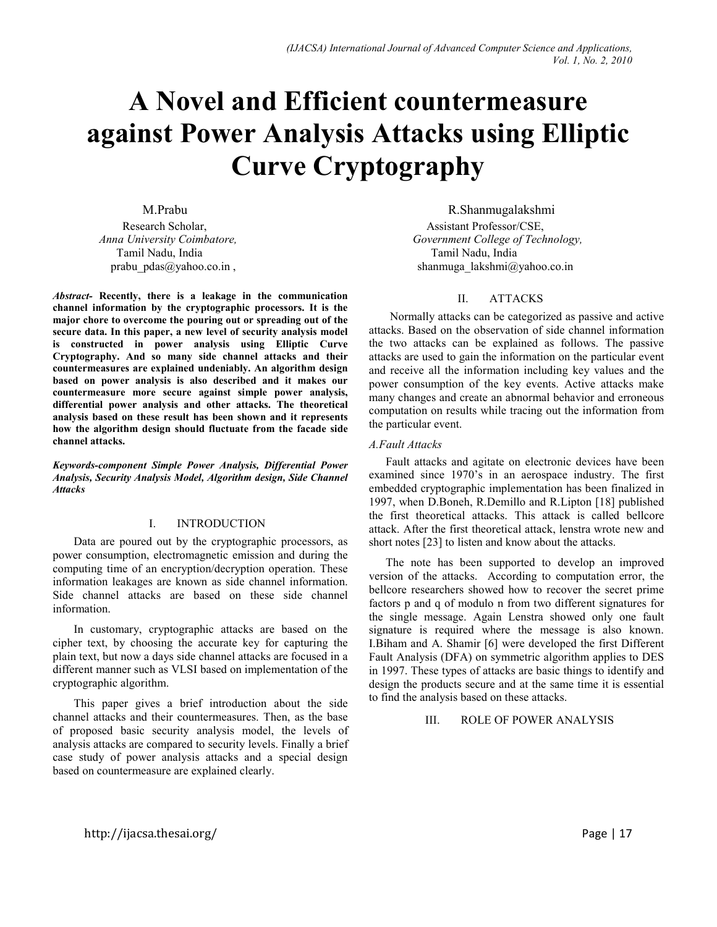# **A ovel and Efficient countermeasure against Power Analysis Attacks using Elliptic Curve Cryptography**

Research Scholar, Assistant Professor/CSE,<br>Anna University Coimbatore. College of Technology and Technology and Technology and Technology and Technology and Technology and Technology and Technology and Technology and Techn Tamil Nadu, India Tamil Nadu, India

*Abstract-* **Recently, there is a leakage in the communication channel information by the cryptographic processors. It is the major chore to overcome the pouring out or spreading out of the secure data. In this paper, a new level of security analysis model is constructed in power analysis using Elliptic Curve Cryptography. And so many side channel attacks and their countermeasures are explained undeniably. An algorithm design based on power analysis is also described and it makes our countermeasure more secure against simple power analysis, differential power analysis and other attacks. The theoretical analysis based on these result has been shown and it represents how the algorithm design should fluctuate from the facade side channel attacks.** 

*Keywords-component Simple Power Analysis, Differential Power Analysis, Security Analysis Model, Algorithm design, Side Channel Attacks* 

## I. INTRODUCTION

Data are poured out by the cryptographic processors, as power consumption, electromagnetic emission and during the computing time of an encryption/decryption operation. These information leakages are known as side channel information. Side channel attacks are based on these side channel information.

In customary, cryptographic attacks are based on the cipher text, by choosing the accurate key for capturing the plain text, but now a days side channel attacks are focused in a different manner such as VLSI based on implementation of the cryptographic algorithm.

This paper gives a brief introduction about the side channel attacks and their countermeasures. Then, as the base of proposed basic security analysis model, the levels of analysis attacks are compared to security levels. Finally a brief case study of power analysis attacks and a special design based on countermeasure are explained clearly.

 M.Prabu R.Shanmugalakshmi *Government College of Technology,* prabu\_pdas@yahoo.co.in , shanmuga\_lakshmi@yahoo.co.in ,

# II. ATTACKS

Normally attacks can be categorized as passive and active attacks. Based on the observation of side channel information the two attacks can be explained as follows. The passive attacks are used to gain the information on the particular event and receive all the information including key values and the power consumption of the key events. Active attacks make many changes and create an abnormal behavior and erroneous computation on results while tracing out the information from the particular event.

# *A.Fault Attacks*

Fault attacks and agitate on electronic devices have been examined since 1970's in an aerospace industry. The first embedded cryptographic implementation has been finalized in 1997, when D.Boneh, R.Demillo and R.Lipton [18] published the first theoretical attacks. This attack is called bellcore attack. After the first theoretical attack, lenstra wrote new and short notes [23] to listen and know about the attacks.

The note has been supported to develop an improved version of the attacks. According to computation error, the bellcore researchers showed how to recover the secret prime factors p and q of modulo n from two different signatures for the single message. Again Lenstra showed only one fault signature is required where the message is also known. I.Biham and A. Shamir [6] were developed the first Different Fault Analysis (DFA) on symmetric algorithm applies to DES in 1997. These types of attacks are basic things to identify and design the products secure and at the same time it is essential to find the analysis based on these attacks.

# III. ROLE OF POWER ANALYSIS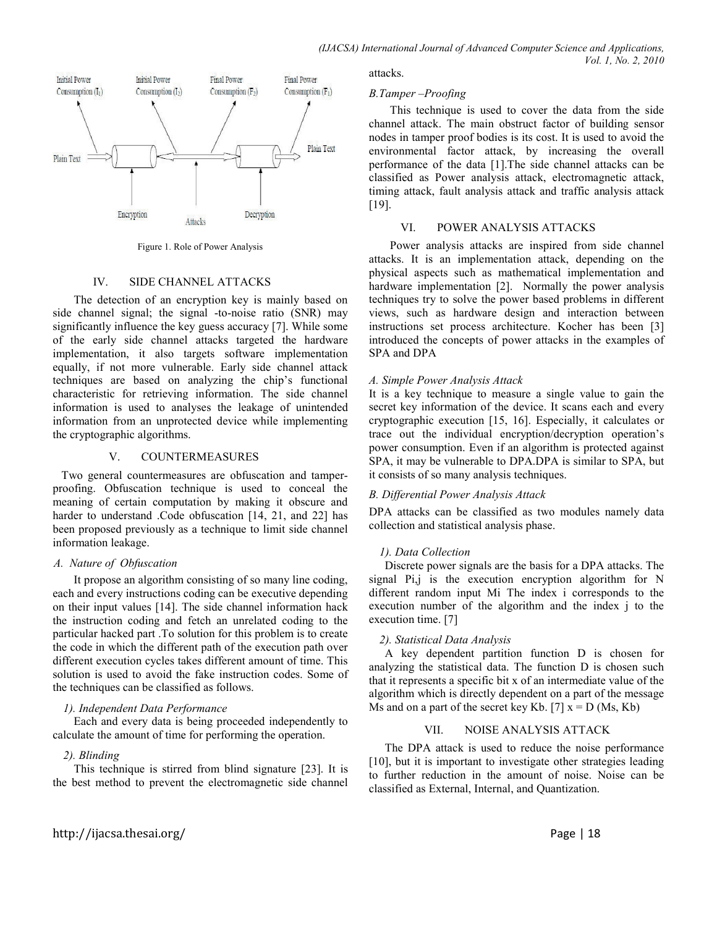

Figure 1. Role of Power Analysis

## IV. SIDE CHANNEL ATTACKS

The detection of an encryption key is mainly based on side channel signal; the signal -to-noise ratio (SNR) may significantly influence the key guess accuracy [7]. While some of the early side channel attacks targeted the hardware implementation, it also targets software implementation equally, if not more vulnerable. Early side channel attack techniques are based on analyzing the chip's functional characteristic for retrieving information. The side channel information is used to analyses the leakage of unintended information from an unprotected device while implementing the cryptographic algorithms.

# V. COUNTERMEASURES

 Two general countermeasures are obfuscation and tamperproofing. Obfuscation technique is used to conceal the meaning of certain computation by making it obscure and harder to understand .Code obfuscation [14, 21, and 22] has been proposed previously as a technique to limit side channel information leakage.

## *A. ature of Obfuscation*

 It propose an algorithm consisting of so many line coding, each and every instructions coding can be executive depending on their input values [14]. The side channel information hack the instruction coding and fetch an unrelated coding to the particular hacked part .To solution for this problem is to create the code in which the different path of the execution path over different execution cycles takes different amount of time. This solution is used to avoid the fake instruction codes. Some of the techniques can be classified as follows.

## *1). Independent Data Performance*

 Each and every data is being proceeded independently to calculate the amount of time for performing the operation.

# *2). Blinding*

This technique is stirred from blind signature [23]. It is the best method to prevent the electromagnetic side channel attacks.

# *B.Tamper –Proofing*

 This technique is used to cover the data from the side channel attack. The main obstruct factor of building sensor nodes in tamper proof bodies is its cost. It is used to avoid the environmental factor attack, by increasing the overall performance of the data [1].The side channel attacks can be classified as Power analysis attack, electromagnetic attack, timing attack, fault analysis attack and traffic analysis attack [19].

## VI. POWER ANALYSIS ATTACKS

Power analysis attacks are inspired from side channel attacks. It is an implementation attack, depending on the physical aspects such as mathematical implementation and hardware implementation [2]. Normally the power analysis techniques try to solve the power based problems in different views, such as hardware design and interaction between instructions set process architecture. Kocher has been [3] introduced the concepts of power attacks in the examples of SPA and DPA

# *A. Simple Power Analysis Attack*

It is a key technique to measure a single value to gain the secret key information of the device. It scans each and every cryptographic execution [15, 16]. Especially, it calculates or trace out the individual encryption/decryption operation's power consumption. Even if an algorithm is protected against SPA, it may be vulnerable to DPA.DPA is similar to SPA, but it consists of so many analysis techniques.

## *B. Differential Power Analysis Attack*

DPA attacks can be classified as two modules namely data collection and statistical analysis phase.

# *1). Data Collection*

 Discrete power signals are the basis for a DPA attacks. The signal Pi,j is the execution encryption algorithm for N different random input Mi The index i corresponds to the execution number of the algorithm and the index j to the execution time. [7]

# *2). Statistical Data Analysis*

 A key dependent partition function D is chosen for analyzing the statistical data. The function D is chosen such that it represents a specific bit x of an intermediate value of the algorithm which is directly dependent on a part of the message Ms and on a part of the secret key Kb. [7]  $x = D$  (Ms, Kb)

# VII. NOISE ANALYSIS ATTACK

The DPA attack is used to reduce the noise performance [10], but it is important to investigate other strategies leading to further reduction in the amount of noise. Noise can be classified as External, Internal, and Quantization.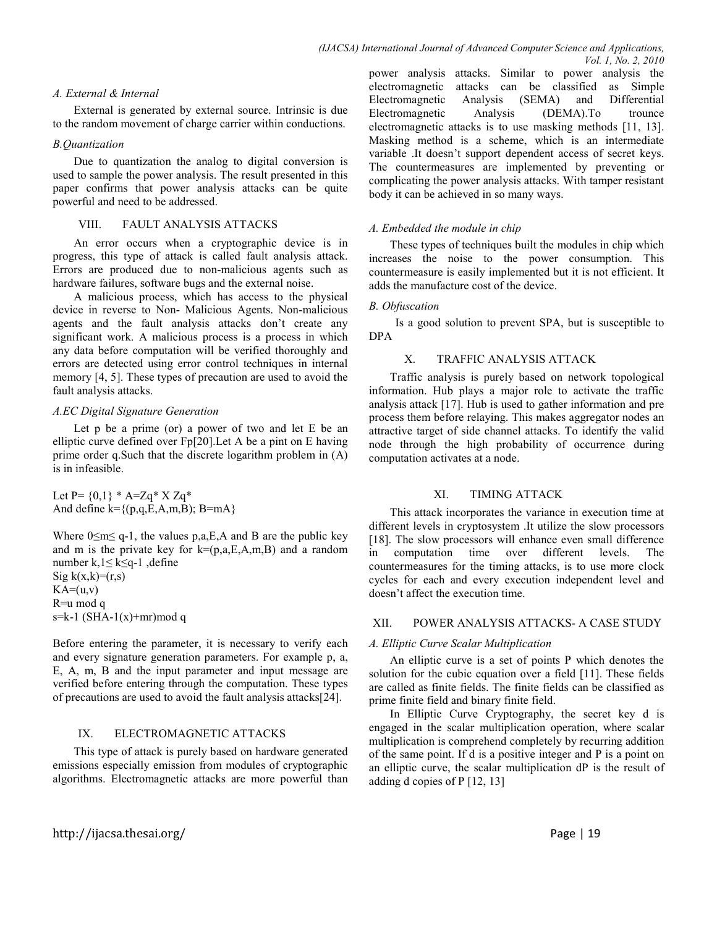#### *A. External & Internal*

External is generated by external source. Intrinsic is due to the random movement of charge carrier within conductions.

#### *B.Quantization*

Due to quantization the analog to digital conversion is used to sample the power analysis. The result presented in this paper confirms that power analysis attacks can be quite powerful and need to be addressed.

# VIII. FAULT ANALYSIS ATTACKS

An error occurs when a cryptographic device is in progress, this type of attack is called fault analysis attack. Errors are produced due to non-malicious agents such as hardware failures, software bugs and the external noise.

A malicious process, which has access to the physical device in reverse to Non- Malicious Agents. Non-malicious agents and the fault analysis attacks don't create any significant work. A malicious process is a process in which any data before computation will be verified thoroughly and errors are detected using error control techniques in internal memory [4, 5]. These types of precaution are used to avoid the fault analysis attacks.

## *A.EC Digital Signature Generation*

Let p be a prime (or) a power of two and let E be an elliptic curve defined over Fp[20].Let A be a pint on E having prime order q.Such that the discrete logarithm problem in (A) is in infeasible.

Let  $P = \{0,1\} * A = Zq * X Zq *$ And define  $k = \{(p,q,E,A,m,B); B=mA\}$ 

Where  $0 \le m \le q-1$ , the values p,a, E, A and B are the public key and m is the private key for  $k=(p,a,E,A,m,B)$  and a random number k,1≤ k≤q-1 ,define Sig  $k(x,k)=(r,s)$  $KA=(u,v)$ R=u mod q  $s=k-1$  (SHA- $1(x)+mr$ )mod q

Before entering the parameter, it is necessary to verify each and every signature generation parameters. For example p, a, E, A, m, B and the input parameter and input message are verified before entering through the computation. These types of precautions are used to avoid the fault analysis attacks[24].

# IX. ELECTROMAGNETIC ATTACKS

This type of attack is purely based on hardware generated emissions especially emission from modules of cryptographic algorithms. Electromagnetic attacks are more powerful than power analysis attacks. Similar to power analysis the electromagnetic attacks can be classified as Simple Electromagnetic Analysis (SEMA) and Differential Electromagnetic Analysis (DEMA).To trounce electromagnetic attacks is to use masking methods [11, 13]. Masking method is a scheme, which is an intermediate variable .It doesn't support dependent access of secret keys. The countermeasures are implemented by preventing or complicating the power analysis attacks. With tamper resistant body it can be achieved in so many ways.

#### *A. Embedded the module in chip*

These types of techniques built the modules in chip which increases the noise to the power consumption. This countermeasure is easily implemented but it is not efficient. It adds the manufacture cost of the device.

#### *B. Obfuscation*

Is a good solution to prevent SPA, but is susceptible to DPA

# X. TRAFFIC ANALYSIS ATTACK

Traffic analysis is purely based on network topological information. Hub plays a major role to activate the traffic analysis attack [17]. Hub is used to gather information and pre process them before relaying. This makes aggregator nodes an attractive target of side channel attacks. To identify the valid node through the high probability of occurrence during computation activates at a node.

#### XI. TIMING ATTACK

This attack incorporates the variance in execution time at different levels in cryptosystem .It utilize the slow processors [18]. The slow processors will enhance even small difference in computation time over different levels. The countermeasures for the timing attacks, is to use more clock cycles for each and every execution independent level and doesn't affect the execution time.

# XII. POWER ANALYSIS ATTACKS- A CASE STUDY

#### *A. Elliptic Curve Scalar Multiplication*

An elliptic curve is a set of points P which denotes the solution for the cubic equation over a field [11]. These fields are called as finite fields. The finite fields can be classified as prime finite field and binary finite field.

In Elliptic Curve Cryptography, the secret key d is engaged in the scalar multiplication operation, where scalar multiplication is comprehend completely by recurring addition of the same point. If d is a positive integer and P is a point on an elliptic curve, the scalar multiplication dP is the result of adding d copies of P [12, 13]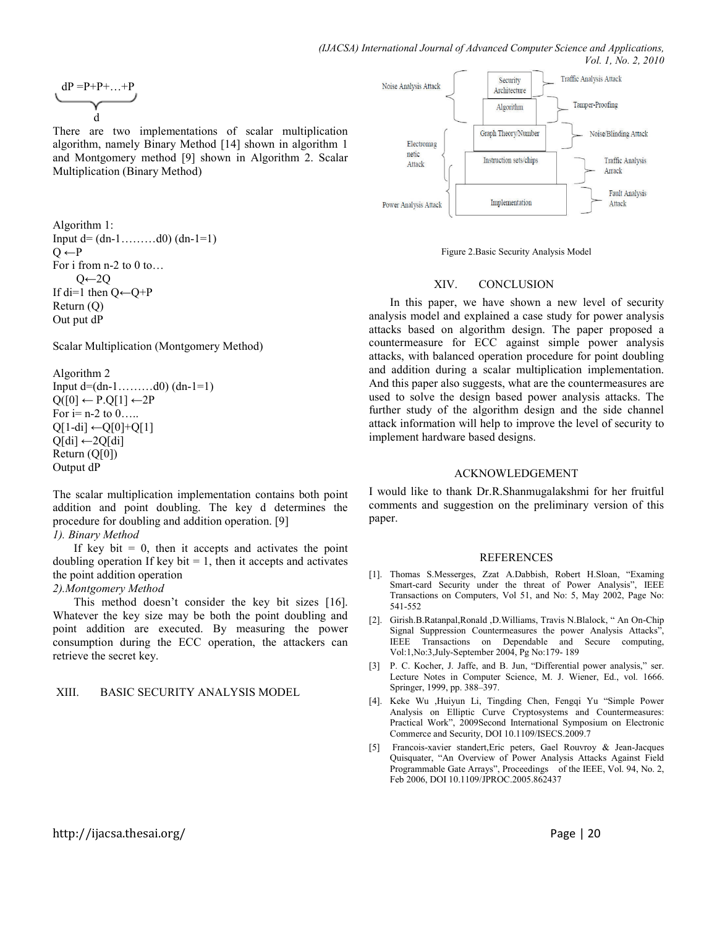$$
\underbrace{dP=}^{p+p+\ldots+p}}_d
$$

There are two implementations of scalar multiplication algorithm, namely Binary Method [14] shown in algorithm 1 and Montgomery method [9] shown in Algorithm 2. Scalar Multiplication (Binary Method)

```
Algorithm 1: 
Input d = (dn-1, \ldots, d0) (dn-1=1)Q \leftarrow PFor i from n-2 to 0 to...
     O \leftarrow 2OIf di=1 then Q \leftarrow Q + PReturn (Q) 
Out put dP
```
Scalar Multiplication (Montgomery Method)

Algorithm 2 Input  $d=(dn-1, \ldots, d0)$   $(dn-1=1)$  $Q([0] \leftarrow P.Q[1] \leftarrow 2P$ For  $i=n-2$  to  $0 \ldots$ .  $Q[1-di] \leftarrow Q[0]+Q[1]$  $Q[di] \leftarrow 2Q[di]$ Return (Q[0]) Output dP

The scalar multiplication implementation contains both point addition and point doubling. The key d determines the procedure for doubling and addition operation. [9]

#### *1). Binary Method*

If key bit  $= 0$ , then it accepts and activates the point doubling operation If key bit  $= 1$ , then it accepts and activates the point addition operation

## *2).Montgomery Method*

This method doesn't consider the key bit sizes [16]. Whatever the key size may be both the point doubling and point addition are executed. By measuring the power consumption during the ECC operation, the attackers can retrieve the secret key.

#### XIII. BASIC SECURITY ANALYSIS MODEL



Figure 2.Basic Security Analysis Model

## XIV. CONCLUSION

In this paper, we have shown a new level of security analysis model and explained a case study for power analysis attacks based on algorithm design. The paper proposed a countermeasure for ECC against simple power analysis attacks, with balanced operation procedure for point doubling and addition during a scalar multiplication implementation. And this paper also suggests, what are the countermeasures are used to solve the design based power analysis attacks. The further study of the algorithm design and the side channel attack information will help to improve the level of security to implement hardware based designs.

#### ACKNOWLEDGEMENT

I would like to thank Dr.R.Shanmugalakshmi for her fruitful comments and suggestion on the preliminary version of this paper.

#### **REFERENCES**

- [1]. Thomas S.Messerges, Zzat A.Dabbish, Robert H.Sloan, "Examing Smart-card Security under the threat of Power Analysis", IEEE Transactions on Computers, Vol 51, and No: 5, May 2002, Page No: 541-552
- [2]. Girish.B.Ratanpal,Ronald ,D.Williams, Travis N.Blalock, " An On-Chip Signal Suppression Countermeasures the power Analysis Attacks", IEEE Transactions on Dependable and Secure computing, Vol:1,No:3,July-September 2004, Pg No:179- 189
- [3] P. C. Kocher, J. Jaffe, and B. Jun, "Differential power analysis," ser. Lecture Notes in Computer Science, M. J. Wiener, Ed., vol. 1666. Springer, 1999, pp. 388–397.
- [4]. Keke Wu ,Huiyun Li, Tingding Chen, Fengqi Yu "Simple Power Analysis on Elliptic Curve Cryptosystems and Countermeasures: Practical Work", 2009Second International Symposium on Electronic Commerce and Security, DOI 10.1109/ISECS.2009.7
- [5] Francois-xavier standert,Eric peters, Gael Rouvroy & Jean-Jacques Quisquater, "An Overview of Power Analysis Attacks Against Field Programmable Gate Arrays", Proceedings of the IEEE, Vol. 94, No. 2, Feb 2006, DOI 10.1109/JPROC.2005.862437